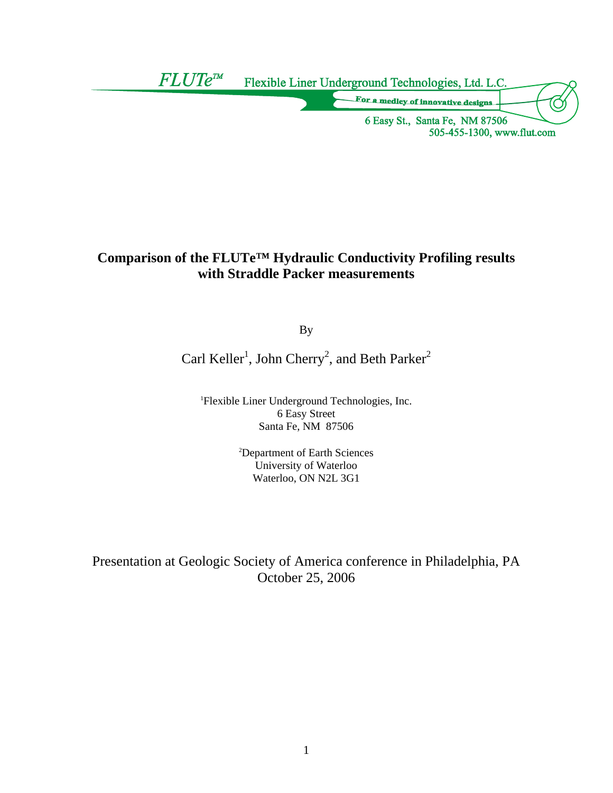

# **Comparison of the FLUTe™ Hydraulic Conductivity Profiling results with Straddle Packer measurements**

By

Carl Keller<sup>1</sup>, John Cherry<sup>2</sup>, and Beth Parker<sup>2</sup>

1 Flexible Liner Underground Technologies, Inc. 6 Easy Street Santa Fe, NM 87506

> 2 Department of Earth Sciences University of Waterloo Waterloo, ON N2L 3G1

Presentation at Geologic Society of America conference in Philadelphia, PA October 25, 2006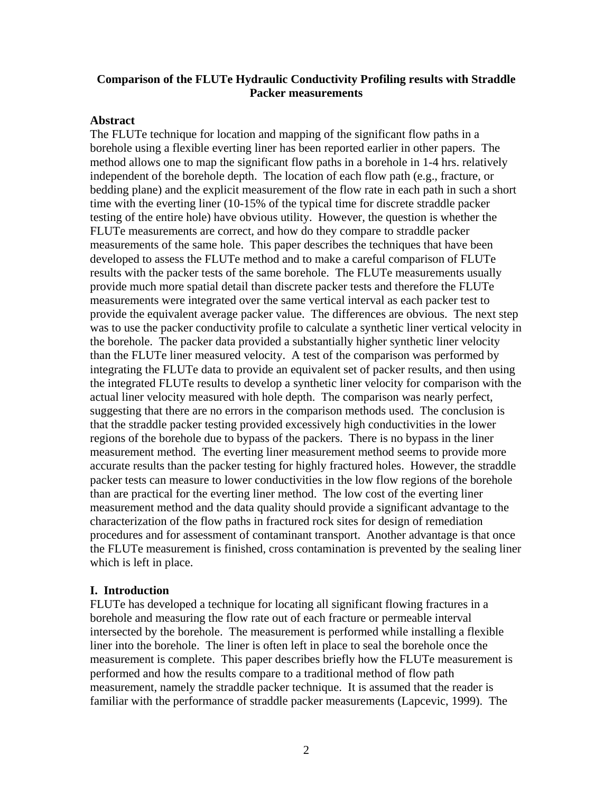# **Comparison of the FLUTe Hydraulic Conductivity Profiling results with Straddle Packer measurements**

#### **Abstract**

The FLUTe technique for location and mapping of the significant flow paths in a borehole using a flexible everting liner has been reported earlier in other papers. The method allows one to map the significant flow paths in a borehole in 1-4 hrs. relatively independent of the borehole depth. The location of each flow path (e.g., fracture, or bedding plane) and the explicit measurement of the flow rate in each path in such a short time with the everting liner (10-15% of the typical time for discrete straddle packer testing of the entire hole) have obvious utility. However, the question is whether the FLUTe measurements are correct, and how do they compare to straddle packer measurements of the same hole. This paper describes the techniques that have been developed to assess the FLUTe method and to make a careful comparison of FLUTe results with the packer tests of the same borehole. The FLUTe measurements usually provide much more spatial detail than discrete packer tests and therefore the FLUTe measurements were integrated over the same vertical interval as each packer test to provide the equivalent average packer value. The differences are obvious. The next step was to use the packer conductivity profile to calculate a synthetic liner vertical velocity in the borehole. The packer data provided a substantially higher synthetic liner velocity than the FLUTe liner measured velocity. A test of the comparison was performed by integrating the FLUTe data to provide an equivalent set of packer results, and then using the integrated FLUTe results to develop a synthetic liner velocity for comparison with the actual liner velocity measured with hole depth. The comparison was nearly perfect, suggesting that there are no errors in the comparison methods used. The conclusion is that the straddle packer testing provided excessively high conductivities in the lower regions of the borehole due to bypass of the packers. There is no bypass in the liner measurement method. The everting liner measurement method seems to provide more accurate results than the packer testing for highly fractured holes. However, the straddle packer tests can measure to lower conductivities in the low flow regions of the borehole than are practical for the everting liner method. The low cost of the everting liner measurement method and the data quality should provide a significant advantage to the characterization of the flow paths in fractured rock sites for design of remediation procedures and for assessment of contaminant transport. Another advantage is that once the FLUTe measurement is finished, cross contamination is prevented by the sealing liner which is left in place.

# **I. Introduction**

FLUTe has developed a technique for locating all significant flowing fractures in a borehole and measuring the flow rate out of each fracture or permeable interval intersected by the borehole. The measurement is performed while installing a flexible liner into the borehole. The liner is often left in place to seal the borehole once the measurement is complete. This paper describes briefly how the FLUTe measurement is performed and how the results compare to a traditional method of flow path measurement, namely the straddle packer technique. It is assumed that the reader is familiar with the performance of straddle packer measurements (Lapcevic, 1999). The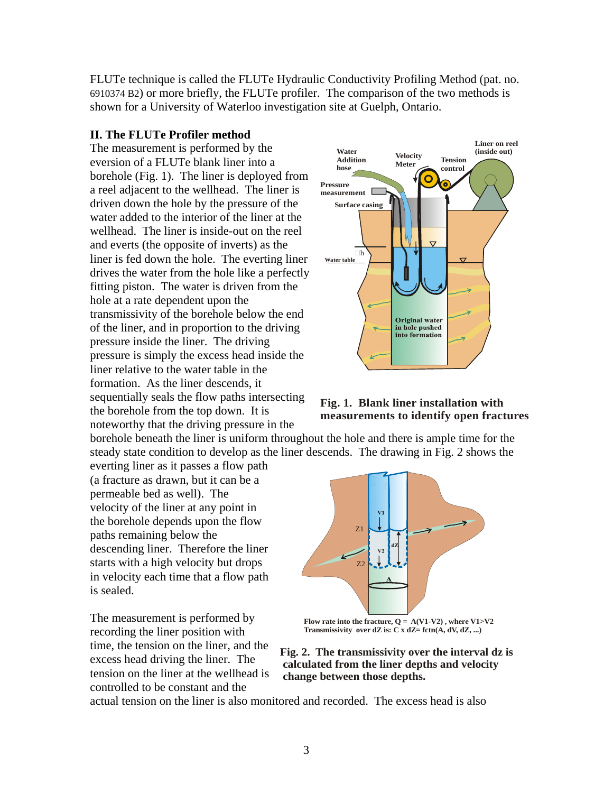FLUTe technique is called the FLUTe Hydraulic Conductivity Profiling Method (pat. no. 6910374 B2) or more briefly, the FLUTe profiler. The comparison of the two methods is shown for a University of Waterloo investigation site at Guelph, Ontario.

# **II. The FLUTe Profiler method**

The measurement is performed by the eversion of a FLUTe blank liner into a borehole (Fig. 1). The liner is deployed from a reel adjacent to the wellhead. The liner is driven down the hole by the pressure of the water added to the interior of the liner at the wellhead. The liner is inside-out on the reel and everts (the opposite of inverts) as the liner is fed down the hole. The everting liner drives the water from the hole like a perfectly fitting piston. The water is driven from the hole at a rate dependent upon the transmissivity of the borehole below the end of the liner, and in proportion to the driving pressure inside the liner. The driving pressure is simply the excess head inside the liner relative to the water table in the formation. As the liner descends, it sequentially seals the flow paths intersecting the borehole from the top down. It is noteworthy that the driving pressure in the



#### **Fig. 1. Blank liner installation with measurements to identify open fractures**

borehole beneath the liner is uniform throughout the hole and there is ample time for the steady state condition to develop as the liner descends. The drawing in Fig. 2 shows the

everting liner as it passes a flow path (a fracture as drawn, but it can be a permeable bed as well). The velocity of the liner at any point in the borehole depends upon the flow paths remaining below the descending liner. Therefore the liner starts with a high velocity but drops in velocity each time that a flow path is sealed.

The measurement is performed by recording the liner position with time, the tension on the liner, and the excess head driving the liner. The tension on the liner at the wellhead is controlled to be constant and the



Flow rate into the fracture,  $Q = A(V1-V2)$ , where  $V1 > V2$ **Transmissivity over dZ is:**  $C \times dZ = fctn(A, dV, dZ, ...)$ 



actual tension on the liner is also monitored and recorded. The excess head is also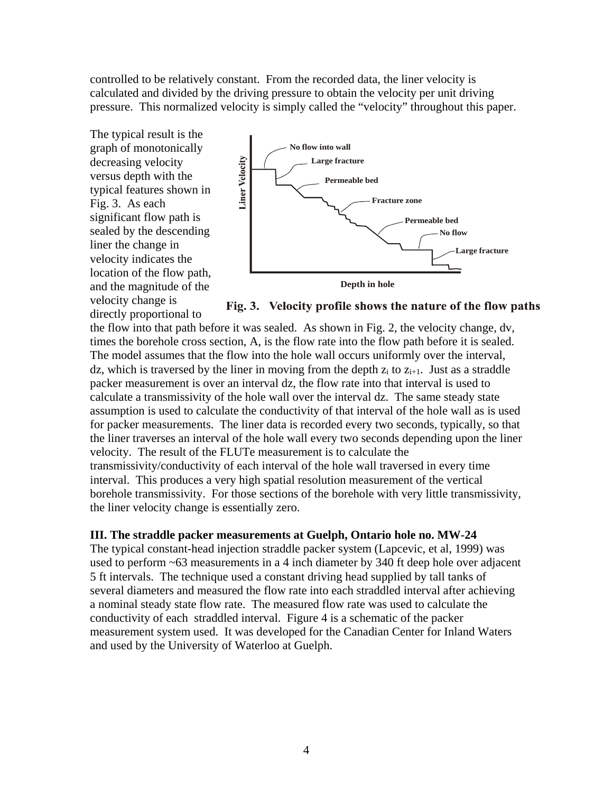controlled to be relatively constant. From the recorded data, the liner velocity is calculated and divided by the driving pressure to obtain the velocity per unit driving pressure. This normalized velocity is simply called the "velocity" throughout this paper.

The typical result is the graph of monotonically decreasing velocity versus depth with the typical features shown in Fig. 3. As each significant flow path is sealed by the descending liner the change in velocity indicates the location of the flow path, and the magnitude of the velocity change is directly proportional to



Fig. 3. Velocity profile shows the nature of the flow paths

the flow into that path before it was sealed. As shown in Fig. 2, the velocity change, dv, times the borehole cross section, A, is the flow rate into the flow path before it is sealed. The model assumes that the flow into the hole wall occurs uniformly over the interval, dz, which is traversed by the liner in moving from the depth  $z_i$  to  $z_{i+1}$ . Just as a straddle packer measurement is over an interval dz, the flow rate into that interval is used to calculate a transmissivity of the hole wall over the interval dz. The same steady state assumption is used to calculate the conductivity of that interval of the hole wall as is used for packer measurements. The liner data is recorded every two seconds, typically, so that the liner traverses an interval of the hole wall every two seconds depending upon the liner velocity. The result of the FLUTe measurement is to calculate the transmissivity/conductivity of each interval of the hole wall traversed in every time interval. This produces a very high spatial resolution measurement of the vertical borehole transmissivity. For those sections of the borehole with very little transmissivity, the liner velocity change is essentially zero.

#### **III. The straddle packer measurements at Guelph, Ontario hole no. MW-24**

The typical constant-head injection straddle packer system (Lapcevic, et al, 1999) was used to perform ~63 measurements in a 4 inch diameter by 340 ft deep hole over adjacent 5 ft intervals. The technique used a constant driving head supplied by tall tanks of several diameters and measured the flow rate into each straddled interval after achieving a nominal steady state flow rate. The measured flow rate was used to calculate the conductivity of each straddled interval. Figure 4 is a schematic of the packer measurement system used. It was developed for the Canadian Center for Inland Waters and used by the University of Waterloo at Guelph.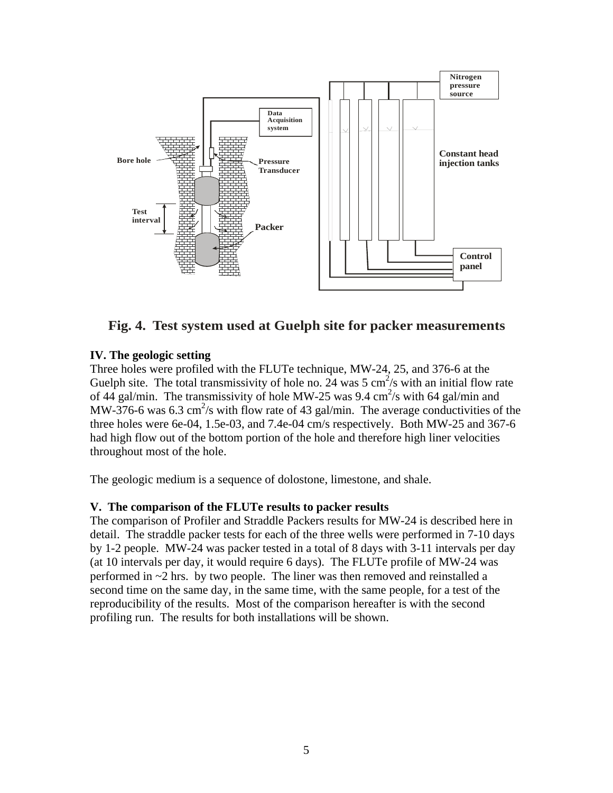

# **Fig. 4. Test system used at Guelph site for packer measurements**

# **IV. The geologic setting**

Three holes were profiled with the FLUTe technique, MW-24, 25, and 376-6 at the Guelph site. The total transmissivity of hole no. 24 was 5 cm<sup>2</sup>/s with an initial flow rate of 44 gal/min. The transmissivity of hole MW-25 was 9.4 cm<sup>2</sup>/s with 64 gal/min and MW-376-6 was 6.3 cm<sup>2</sup>/s with flow rate of 43 gal/min. The average conductivities of the three holes were 6e-04, 1.5e-03, and 7.4e-04 cm/s respectively. Both MW-25 and 367-6 had high flow out of the bottom portion of the hole and therefore high liner velocities throughout most of the hole.

The geologic medium is a sequence of dolostone, limestone, and shale.

# **V. The comparison of the FLUTe results to packer results**

The comparison of Profiler and Straddle Packers results for MW-24 is described here in detail. The straddle packer tests for each of the three wells were performed in 7-10 days by 1-2 people. MW-24 was packer tested in a total of 8 days with 3-11 intervals per day (at 10 intervals per day, it would require 6 days). The FLUTe profile of MW-24 was performed in ~2 hrs. by two people. The liner was then removed and reinstalled a second time on the same day, in the same time, with the same people, for a test of the reproducibility of the results. Most of the comparison hereafter is with the second profiling run. The results for both installations will be shown.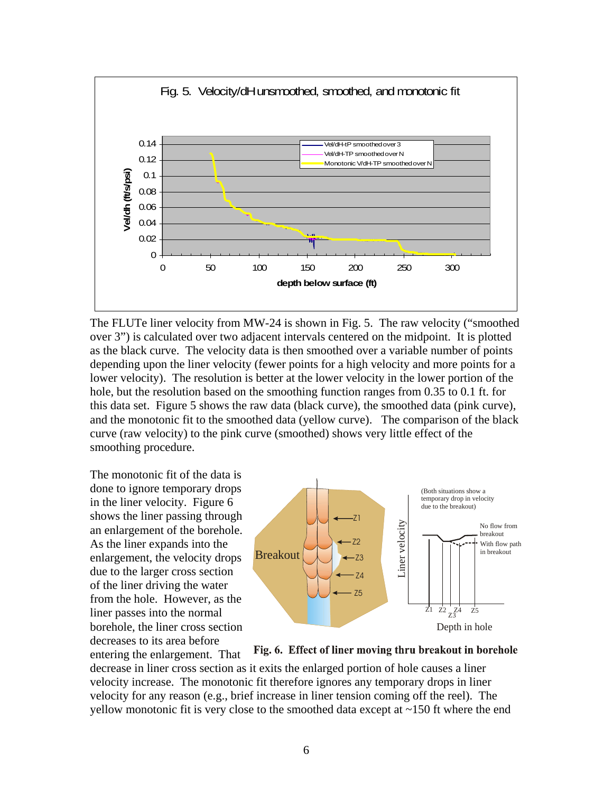

The FLUTe liner velocity from MW-24 is shown in Fig. 5. The raw velocity ("smoothed over 3") is calculated over two adjacent intervals centered on the midpoint. It is plotted as the black curve. The velocity data is then smoothed over a variable number of points depending upon the liner velocity (fewer points for a high velocity and more points for a lower velocity). The resolution is better at the lower velocity in the lower portion of the hole, but the resolution based on the smoothing function ranges from 0.35 to 0.1 ft. for this data set. Figure 5 shows the raw data (black curve), the smoothed data (pink curve), and the monotonic fit to the smoothed data (yellow curve). The comparison of the black curve (raw velocity) to the pink curve (smoothed) shows very little effect of the smoothing procedure.

The monotonic fit of the data is done to ignore temporary drops in the liner velocity. Figure 6 shows the liner passing through an enlargement of the borehole. As the liner expands into the enlargement, the velocity drops due to the larger cross section of the liner driving the water from the hole. However, as the liner passes into the normal borehole, the liner cross section decreases to its area before entering the enlargement. That





decrease in liner cross section as it exits the enlarged portion of hole causes a liner velocity increase. The monotonic fit therefore ignores any temporary drops in liner velocity for any reason (e.g., brief increase in liner tension coming off the reel). The yellow monotonic fit is very close to the smoothed data except at ~150 ft where the end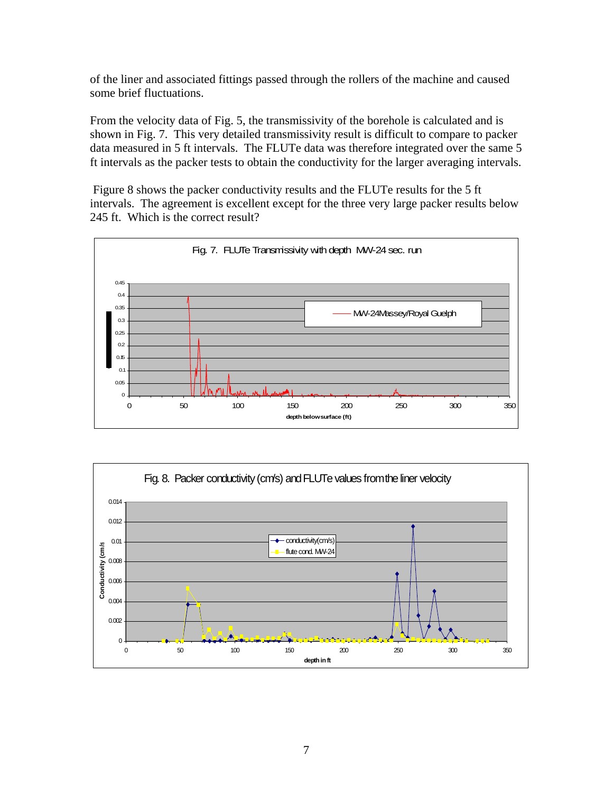of the liner and associated fittings passed through the rollers of the machine and caused some brief fluctuations.

From the velocity data of Fig. 5, the transmissivity of the borehole is calculated and is shown in Fig. 7. This very detailed transmissivity result is difficult to compare to packer data measured in 5 ft intervals. The FLUTe data was therefore integrated over the same 5 ft intervals as the packer tests to obtain the conductivity for the larger averaging intervals.

 Figure 8 shows the packer conductivity results and the FLUTe results for the 5 ft intervals. The agreement is excellent except for the three very large packer results below 245 ft. Which is the correct result?



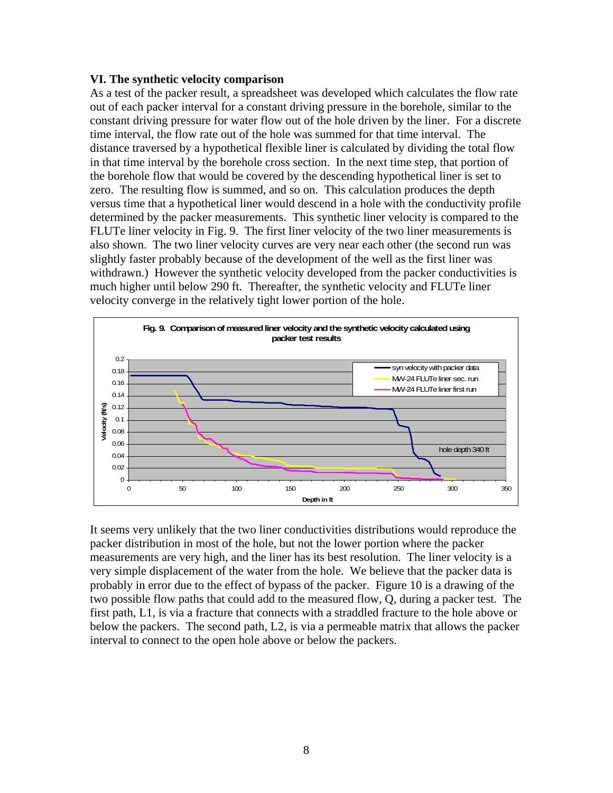#### **VI. The synthetic velocity comparison**

As a test of the packer result, a spreadsheet was developed which calculates the flow rate out of each packer interval for a constant driving pressure in the borehole, similar to the constant driving pressure for water flow out of the hole driven by the liner. For a discrete time interval, the flow rate out of the hole was summed for that time interval. The distance traversed by a hypothetical flexible liner is calculated by dividing the total flow in that time interval by the borehole cross section. In the next time step, that portion of the borehole flow that would be covered by the descending hypothetical liner is set to zero. The resulting flow is summed, and so on. This calculation produces the depth versus time that a hypothetical liner would descend in a hole with the conductivity profile determined by the packer measurements. This synthetic liner velocity is compared to the FLUTe liner velocity in Fig. 9. The first liner velocity of the two liner measurements is also shown. The two liner velocity curves are very near each other (the second run was slightly faster probably because of the development of the well as the first liner was withdrawn.) However the synthetic velocity developed from the packer conductivities is much higher until below 290 ft. Thereafter, the synthetic velocity and FLUTe liner velocity converge in the relatively tight lower portion of the hole.



It seems very unlikely that the two liner conductivities distributions would reproduce the packer distribution in most of the hole, but not the lower portion where the packer measurements are very high, and the liner has its best resolution. The liner velocity is a very simple displacement of the water from the hole. We believe that the packer data is probably in error due to the effect of bypass of the packer. Figure 10 is a drawing of the two possible flow paths that could add to the measured flow, Q, during a packer test. The first path, L1, is via a fracture that connects with a straddled fracture to the hole above or below the packers. The second path, L2, is via a permeable matrix that allows the packer interval to connect to the open hole above or below the packers.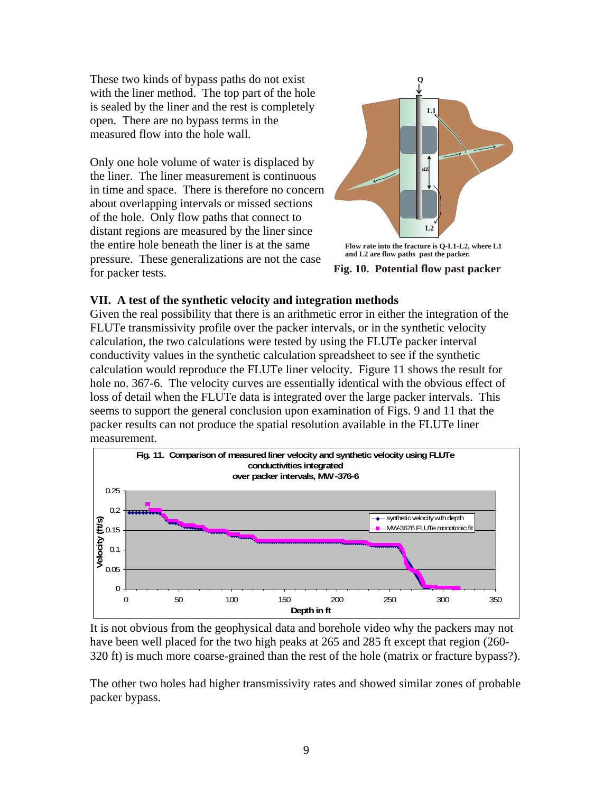These two kinds of bypass paths do not exist with the liner method. The top part of the hole is sealed by the liner and the rest is completely open. There are no bypass terms in the measured flow into the hole wall.

Only one hole volume of water is displaced by the liner. The liner measurement is continuous in time and space. There is therefore no concern about overlapping intervals or missed sections of the hole. Only flow paths that connect to distant regions are measured by the liner since the entire hole beneath the liner is at the same pressure. These generalizations are not the case for packer tests.



**Fig. 10. Potential flow past packer**

# **VII. A test of the synthetic velocity and integration methods**

Given the real possibility that there is an arithmetic error in either the integration of the FLUTe transmissivity profile over the packer intervals, or in the synthetic velocity calculation, the two calculations were tested by using the FLUTe packer interval conductivity values in the synthetic calculation spreadsheet to see if the synthetic calculation would reproduce the FLUTe liner velocity. Figure 11 shows the result for hole no. 367-6. The velocity curves are essentially identical with the obvious effect of loss of detail when the FLUTe data is integrated over the large packer intervals. This seems to support the general conclusion upon examination of Figs. 9 and 11 that the packer results can not produce the spatial resolution available in the FLUTe liner measurement.



It is not obvious from the geophysical data and borehole video why the packers may not have been well placed for the two high peaks at 265 and 285 ft except that region (260- 320 ft) is much more coarse-grained than the rest of the hole (matrix or fracture bypass?).

The other two holes had higher transmissivity rates and showed similar zones of probable packer bypass.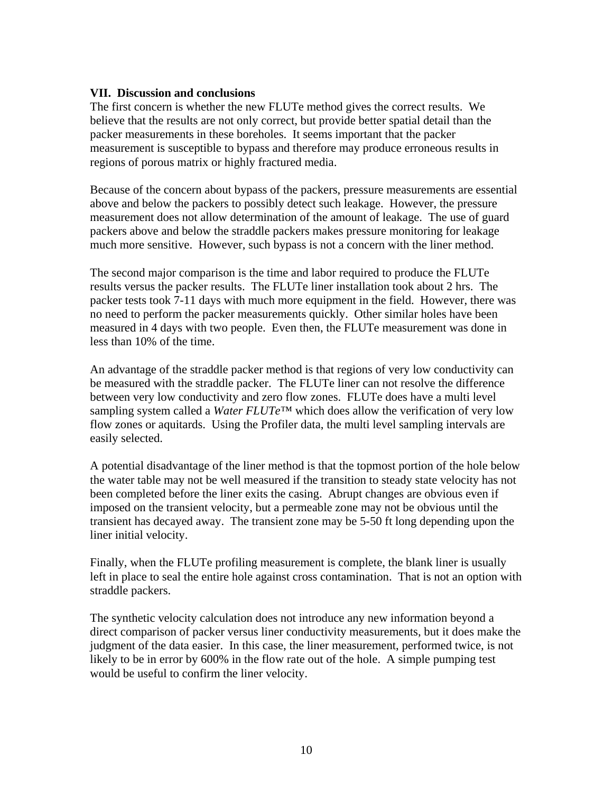# **VII. Discussion and conclusions**

The first concern is whether the new FLUTe method gives the correct results. We believe that the results are not only correct, but provide better spatial detail than the packer measurements in these boreholes. It seems important that the packer measurement is susceptible to bypass and therefore may produce erroneous results in regions of porous matrix or highly fractured media.

Because of the concern about bypass of the packers, pressure measurements are essential above and below the packers to possibly detect such leakage. However, the pressure measurement does not allow determination of the amount of leakage. The use of guard packers above and below the straddle packers makes pressure monitoring for leakage much more sensitive. However, such bypass is not a concern with the liner method.

The second major comparison is the time and labor required to produce the FLUTe results versus the packer results. The FLUTe liner installation took about 2 hrs. The packer tests took 7-11 days with much more equipment in the field. However, there was no need to perform the packer measurements quickly. Other similar holes have been measured in 4 days with two people. Even then, the FLUTe measurement was done in less than 10% of the time.

An advantage of the straddle packer method is that regions of very low conductivity can be measured with the straddle packer. The FLUTe liner can not resolve the difference between very low conductivity and zero flow zones. FLUTe does have a multi level sampling system called a *Water FLUTe*™ which does allow the verification of very low flow zones or aquitards. Using the Profiler data, the multi level sampling intervals are easily selected.

A potential disadvantage of the liner method is that the topmost portion of the hole below the water table may not be well measured if the transition to steady state velocity has not been completed before the liner exits the casing. Abrupt changes are obvious even if imposed on the transient velocity, but a permeable zone may not be obvious until the transient has decayed away. The transient zone may be 5-50 ft long depending upon the liner initial velocity.

Finally, when the FLUTe profiling measurement is complete, the blank liner is usually left in place to seal the entire hole against cross contamination. That is not an option with straddle packers.

The synthetic velocity calculation does not introduce any new information beyond a direct comparison of packer versus liner conductivity measurements, but it does make the judgment of the data easier. In this case, the liner measurement, performed twice, is not likely to be in error by 600% in the flow rate out of the hole. A simple pumping test would be useful to confirm the liner velocity.